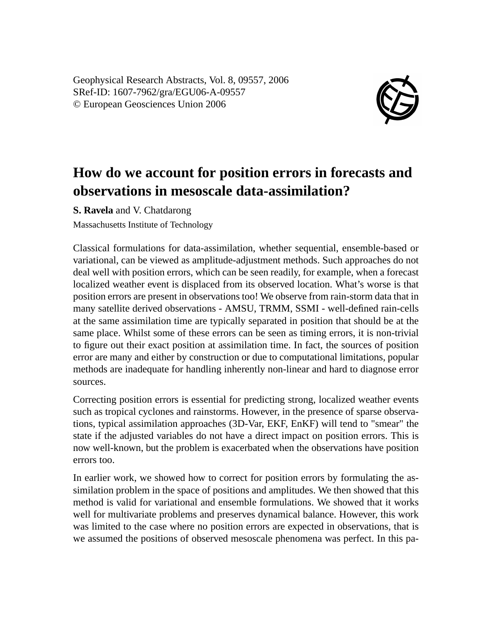Geophysical Research Abstracts, Vol. 8, 09557, 2006 SRef-ID: 1607-7962/gra/EGU06-A-09557 © European Geosciences Union 2006



## **How do we account for position errors in forecasts and observations in mesoscale data-assimilation?**

**S. Ravela** and V. Chatdarong

Massachusetts Institute of Technology

Classical formulations for data-assimilation, whether sequential, ensemble-based or variational, can be viewed as amplitude-adjustment methods. Such approaches do not deal well with position errors, which can be seen readily, for example, when a forecast localized weather event is displaced from its observed location. What's worse is that position errors are present in observations too! We observe from rain-storm data that in many satellite derived observations - AMSU, TRMM, SSMI - well-defined rain-cells at the same assimilation time are typically separated in position that should be at the same place. Whilst some of these errors can be seen as timing errors, it is non-trivial to figure out their exact position at assimilation time. In fact, the sources of position error are many and either by construction or due to computational limitations, popular methods are inadequate for handling inherently non-linear and hard to diagnose error sources.

Correcting position errors is essential for predicting strong, localized weather events such as tropical cyclones and rainstorms. However, in the presence of sparse observations, typical assimilation approaches (3D-Var, EKF, EnKF) will tend to "smear" the state if the adjusted variables do not have a direct impact on position errors. This is now well-known, but the problem is exacerbated when the observations have position errors too.

In earlier work, we showed how to correct for position errors by formulating the assimilation problem in the space of positions and amplitudes. We then showed that this method is valid for variational and ensemble formulations. We showed that it works well for multivariate problems and preserves dynamical balance. However, this work was limited to the case where no position errors are expected in observations, that is we assumed the positions of observed mesoscale phenomena was perfect. In this pa